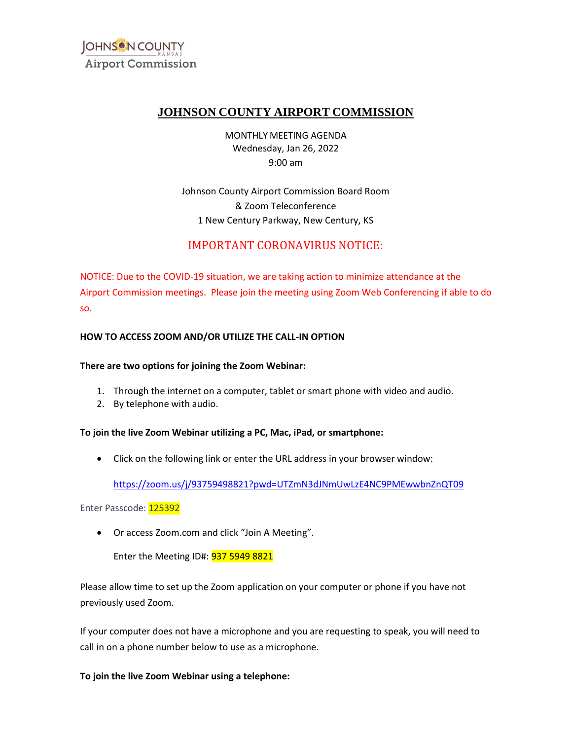

# **JOHNSON COUNTY AIRPORT COMMISSION**

MONTHLY MEETING AGENDA Wednesday, Jan 26, 2022 9:00 am

Johnson County Airport Commission Board Room & Zoom Teleconference 1 New Century Parkway, New Century, KS

# IMPORTANT CORONAVIRUS NOTICE:

NOTICE: Due to the COVID-19 situation, we are taking action to minimize attendance at the Airport Commission meetings. Please join the meeting using Zoom Web Conferencing if able to do so.

### **HOW TO ACCESS ZOOM AND/OR UTILIZE THE CALL-IN OPTION**

#### **There are two options for joining the Zoom Webinar:**

- 1. Through the internet on a computer, tablet or smart phone with video and audio.
- 2. By telephone with audio.

#### **To join the live Zoom Webinar utilizing a PC, Mac, iPad, or smartphone:**

• Click on the following link or enter the URL address in your browser window:

<u>https://zoom.us/j/93759498821?pwd=UTZmN3dJNmUwLzE4NC9PMEwwbnZnQT09</u><br>isscode: <mark>125392</mark><br>Or access Zoom.com and click "Join A Meeting".

Enter Passcode: 125392

• Or access [Zoom.com](https://Zoom.com) and click "Join A Meeting".

Enter the Meeting ID#: 937 5949 8821

Please allow time to set up the Zoom application on your computer or phone if you have not previously used Zoom.

If your computer does not have a microphone and you are requesting to speak, you will need to call in on a phone number below to use as a microphone.

**To join the live Zoom Webinar using a telephone:**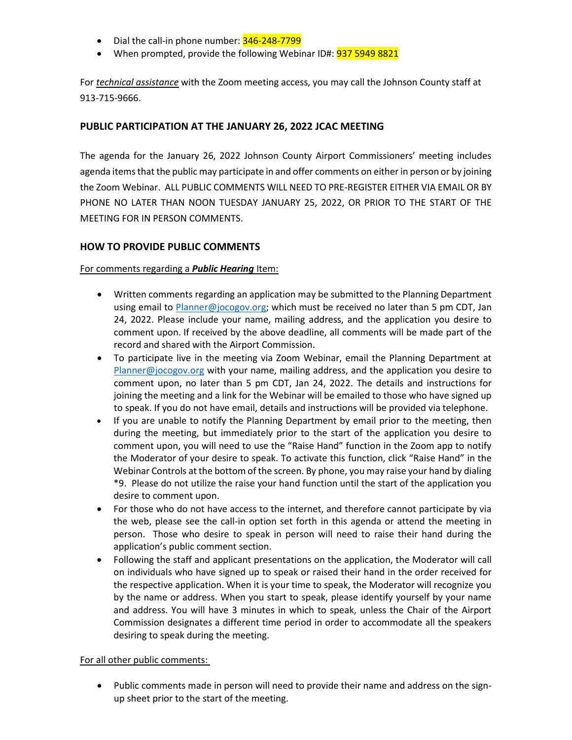- Dial the call-in phone number: 346-248-7799
- When prompted, provide the following Webinar ID#: 937 5949 8821

For *technical assistance* with the Zoom meeting access, you may call the Johnson County staff at 913-715-9666.

## **PUBLIC PARTICIPATION AT THE JANUARY 26, 2022 JCAC MEETING**

 The agenda for the January 26, 2022 Johnson County Airport Commissioners' meeting includes agenda items that the public may participate in and offer comments on either in person or by joining the Zoom Webinar. ALL PUBLIC COMMENTS WILL NEED TO PRE-REGISTER EITHER VIA EMAIL OR BY PHONE NO LATER THAN NOON TUESDAY JANUARY 25, 2022, OR PRIOR TO THE START OF THE MEETING FOR IN PERSON COMMENTS.

# **HOW TO PROVIDE PUBLIC COMMENTS**

### For comments regarding a *Public Hearing* Item:

- Written comments regarding an application may be submitted to the Planning Department using email to [Planner@jocogov.org;](mailto:Planner@jocogov.org) which must be received no later than 5 pm CDT, Jan 24, 2022. Please include your name, mailing address, and the application you desire to comment upon. If received by the above deadline, all comments will be made part of the record and shared with the Airport Commission.
- To participate live in the meeting via Zoom Webinar, email the Planning Department at [Planner@jocogov.org](mailto:Planner@jocogov.org) with your name, mailing address, and the application you desire to comment upon, no later than 5 pm CDT, Jan 24, 2022. The details and instructions for joining the meeting and a link for the Webinar will be emailed to those who have signed up to speak. If you do not have email, details and instructions will be provided via telephone.
- comment upon, you will need to use the "Raise Hand" function in the Zoom app to notify the Moderator of your desire to speak. To activate this function, click "Raise Hand" in the • If you are unable to notify the Planning Department by email prior to the meeting, then during the meeting, but immediately prior to the start of the application you desire to Webinar Controls at the bottom of the screen. By phone, you may raise your hand by dialing \*9. Please do not utilize the raise your hand function until the start of the application you desire to comment upon.
- For those who do not have access to the internet, and therefore cannot participate by via the web, please see the call-in option set forth in this agenda or attend the meeting in person. Those who desire to speak in person will need to raise their hand during the application's public comment section.
- Following the staff and applicant presentations on the application, the Moderator will call on individuals who have signed up to speak or raised their hand in the order received for the respective application. When it is your time to speak, the Moderator will recognize you by the name or address. When you start to speak, please identify yourself by your name and address. You will have 3 minutes in which to speak, unless the Chair of the Airport Commission designates a different time period in order to accommodate all the speakers desiring to speak during the meeting.

#### For all other public comments:

• Public comments made in person will need to provide their name and address on the signup sheet prior to the start of the meeting.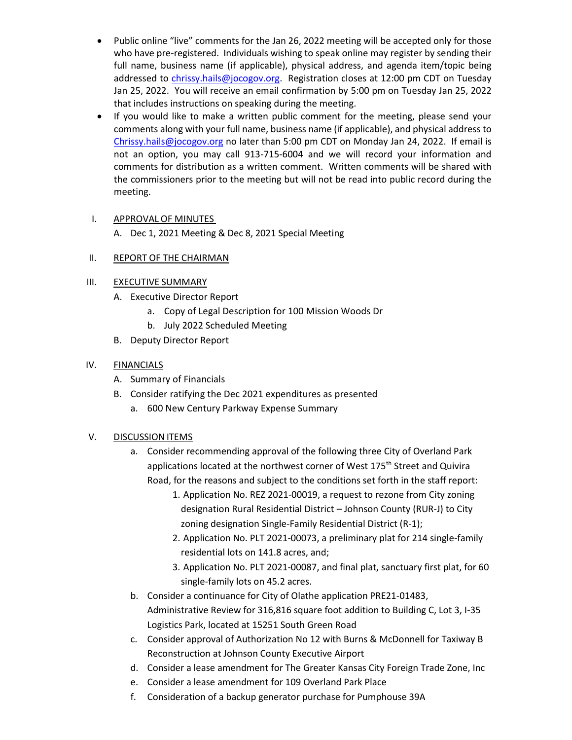- Public online "live" comments for the Jan 26, 2022 meeting will be accepted only for those who have pre-registered. Individuals wishing to speak online may register by sending their full name, business name (if applicable), physical address, and agenda item/topic being addressed to [chrissy.hails@jocogov.org.](mailto:chrissy.hails@jocogov.org) Registration closes at 12:00 pm CDT on Tuesday Jan 25, 2022. You will receive an email confirmation by 5:00 pm on Tuesday Jan 25, 2022 that includes instructions on speaking during the meeting.
- If you would like to make a written public comment for the meeting, please send your comments along with your full name, business name (if applicable), and physical address to [Chrissy.hails@jocogov.org](mailto:Chrissy.hails@jocogov.org) no later than 5:00 pm CDT on Monday Jan 24, 2022. If email is not an option, you may call 913-715-6004 and we will record your information and comments for distribution as a written comment. Written comments will be shared with the commissioners prior to the meeting but will not be read into public record during the meeting.

### I. APPROVAL OF MINUTES

A. Dec 1, 2021 Meeting & Dec 8, 2021 Special Meeting

### II. REPORT OF THE CHAIRMAN

### III. EXECUTIVE SUMMARY

- A. Executive Director Report
	- a. Copy of Legal Description for 100 Mission Woods Dr
	- b. July 2022 Scheduled Meeting
- B. Deputy Director Report

#### IV. FINANCIALS

- A. Summary of Financials
- B. Consider ratifying the Dec 2021 expenditures as presented
	- a. 600 New Century Parkway Expense Summary

## V. DISCUSSION ITEMS

- a. Consider recommending approval of the following three City of Overland Park applications located at the northwest corner of West 175<sup>th</sup> Street and Quivira Road, for the reasons and subject to the conditions set forth in the staff report:
	- 1. Application No. REZ 2021-00019, a request to rezone from City zoning designation Rural Residential District – Johnson County (RUR-J) to City zoning designation Single-Family Residential District (R-1);
	- 2. Application No. PLT 2021-00073, a preliminary plat for 214 single-family residential lots on 141.8 acres, and;
	- 3. Application No. PLT 2021-00087, and final plat, sanctuary first plat, for 60 single-family lots on 45.2 acres.
- b. Consider a continuance for City of Olathe application PRE21-01483, Administrative Review for 316,816 square foot addition to Building C, Lot 3, I-35 Logistics Park, located at 15251 South Green Road
- c. Consider approval of Authorization No 12 with Burns & McDonnell for Taxiway B Reconstruction at Johnson County Executive Airport
- d. Consider a lease amendment for The Greater Kansas City Foreign Trade Zone, Inc
- e. Consider a lease amendment for 109 Overland Park Place
- f. Consideration of a backup generator purchase for Pumphouse 39A